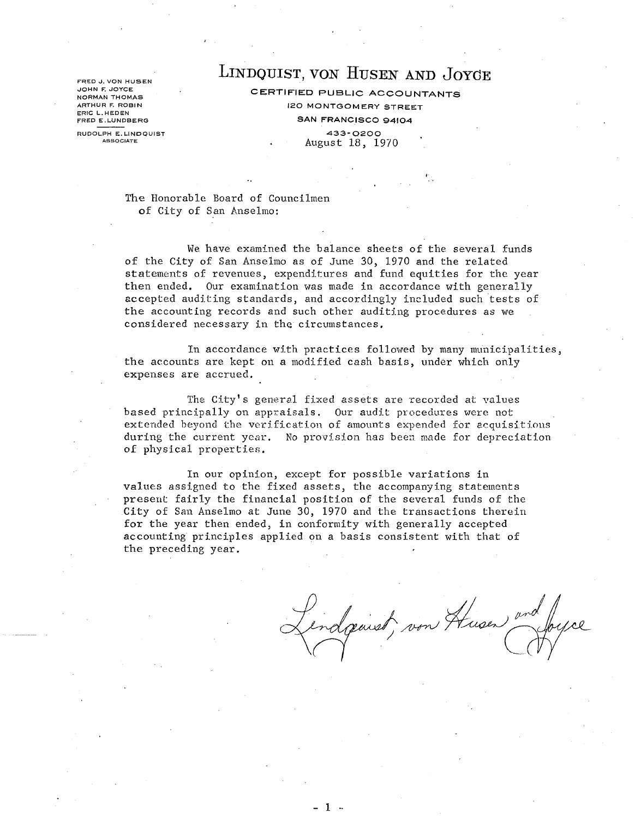FRED J. VON HUSEN JOHN F. JOYCE NORMAN THOMAS ARTHUR F. ROBIN ERIC L. HEDEN ERED E.LUNDBERG

RUDOLPH E. LINDQUIST **ASSOCIATE** 

# LINDQUIST, VON HUSEN AND JOYCE

CERTIFIED PUBLIC ACCOUNTANTS 120 MONTGOMERY STREET SAN FRANCISCO 94104 433-0200 August 18, 1970

The Honorable Board of Councilmen of City of San Anselmo:

We have examined the balance sheets of the several funds of the City of San Anselmo as of June 30, 1970 and the related statements of revenues, expenditures and fund equities for the year then ended. Our examination was made in accordance with generally accepted auditing standards, and accordingly included such tests of the accounting records and such other auditing procedures as we considered necessary in the circumstances.

In accordance with practices followed by many municipalities, the accounts are kept on a modified cash basis, under which only expenses are accrued.

The City's general fixed assets are recorded at values based principally on appraisals. Our audit procedures were not extended beyond the verification of amounts expended for acquisitions during the current year. No provision has been made for depreciation of physical properties.

In our opinion, except for possible variations in values assigned to the fixed assets, the accompanying statements present fairly the financial position of the several funds of the City of San Anselmo at June 30, 1970 and the transactions therein for the year then ended, in conformity with generally accepted accounting principles applied on a basis consistent with that of the preceding year.

Spaist, von Atusen and \_.(1  $/cl$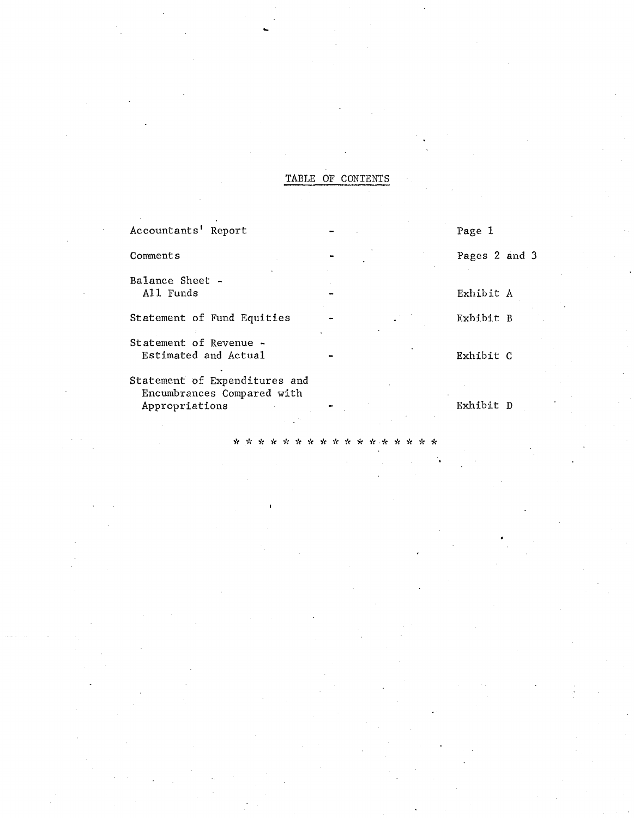# TABLE OF CONTENTS

| Accountants' Report                                                           |  | Page 1        |  |
|-------------------------------------------------------------------------------|--|---------------|--|
| Comments                                                                      |  | Pages 2 and 3 |  |
| Balance Sheet -<br>A11 Funds                                                  |  | Exhibit A     |  |
| Statement of Fund Equities                                                    |  | Exhibit B     |  |
| Statement of Revenue -<br>Estimated and Actual                                |  | Exhibit C     |  |
| Statement of Expenditures and<br>Encumbrances Compared with<br>Appropriations |  | Exhibit D     |  |
|                                                                               |  |               |  |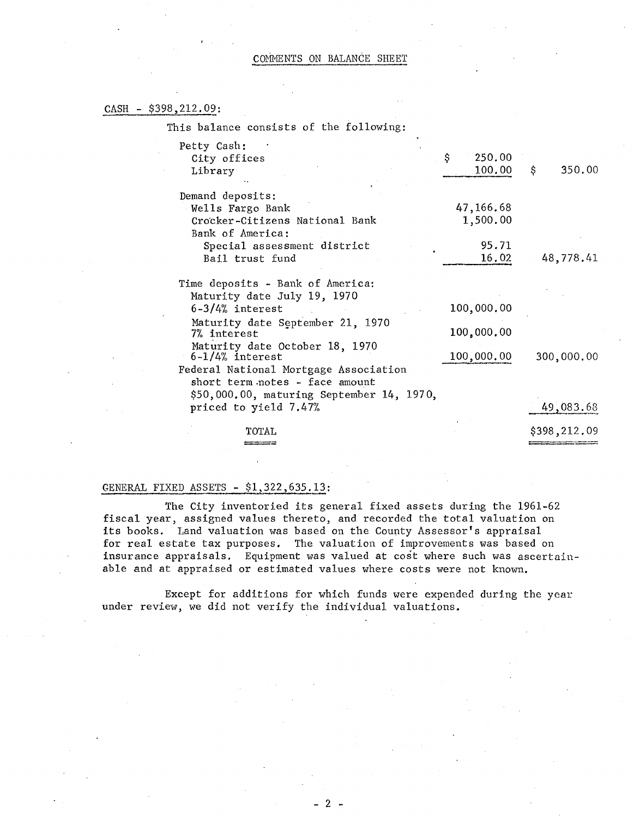#### $CASH - $398,212.09:$

This balance consists of the following:

| Petty Cash:<br>City offices<br>Library                                                                                                                                                                                                                  | \$<br>250.00<br>100.00                  | $\frac{1}{2}$ | 350.00                  |
|---------------------------------------------------------------------------------------------------------------------------------------------------------------------------------------------------------------------------------------------------------|-----------------------------------------|---------------|-------------------------|
| Demand deposits:<br>Wells Fargo Bank<br>Crocker-Citizens National Bank<br>Bank of America:<br>Special assessment district<br>Bail trust fund                                                                                                            | 47,166.68<br>1,500.00<br>95.71<br>16.02 |               | 48,778.41               |
| Time deposits - Bank of America:<br>Maturity date July 19, 1970<br>$6-3/4%$ interest                                                                                                                                                                    | 100,000.00                              |               |                         |
| Maturity date September 21, 1970<br>7% interest<br>Maturity date October 18, 1970<br>$6-1/4%$ interest<br>Federal National Mortgage Association<br>short term notes - face amount<br>\$50,000.00, maturing September 14, 1970,<br>priced to yield 7.47% | 100,000.00<br>100,000.00                |               | 300,000.00<br>49,083.68 |
| TOTAL                                                                                                                                                                                                                                                   |                                         |               | \$398,212.09            |

#### GENERAL FIXED ASSETS - \$1,322,635.13:

The City inventoried its general fixed assets during the 1961-62 fiscal year, assigned values thereto, and recorded the total valuation on its books. Land valuation was based on the County Assessor's appraisal for real estate tax purposes. The valuation of improvements was based on insurance appraisals. Equipment was valued at cost where such was ascertainable and at appraised or estimated values where costs were not known.

Except for additions for which funds were expended during the year under review, we did not verify the individual valuations.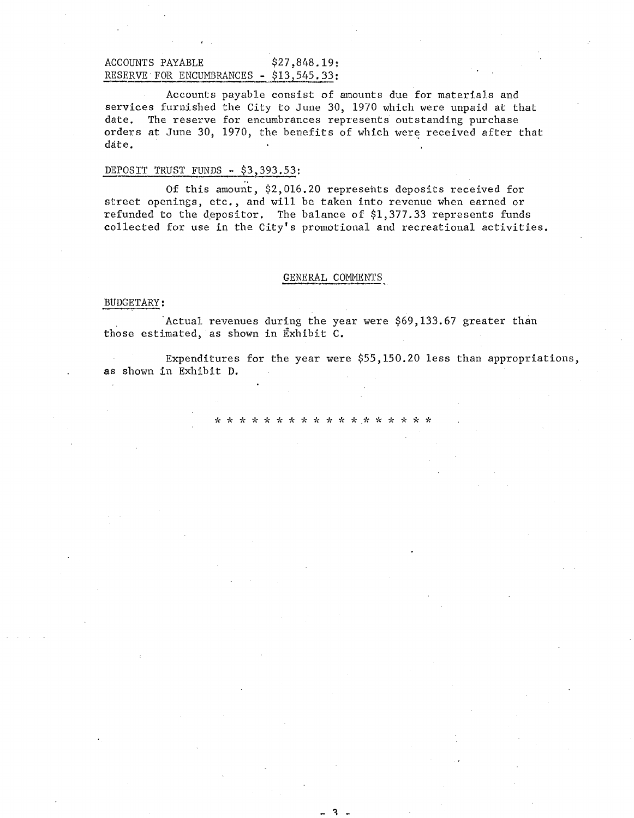#### \$27,848.19; ACCOUNTS PAYABLE RESERVE FOR ENCUMBRANCES - \$13,545.33:

Accounts payable consist of amounts due for materials and services furnished the City to June 30, 1970 which were unpaid at that date. The reserve for encumbrances represents outstanding purchase orders at June 30, 1970, the benefits of which were received after that date.

#### DEPOSIT TRUST FUNDS - \$3,393.53:

Of this amount, \$2,016.20 represents deposits received for street openings, etc., and will be taken into revenue when earned or refunded to the depositor. The balance of \$1,377.33 represents funds collected for use in the City's promotional and recreational activities.

#### GENERAL COMMENTS

#### BUDGETARY:

Actual revenues during the year were \$69,133.67 greater than those estimated, as shown in Exhibit C.

Expenditures for the year were \$55,150.20 less than appropriations, as shown in Exhibit D.

\* \* \* \* \* \* \* \* \* \* \* \* \* \* \* \* \* \*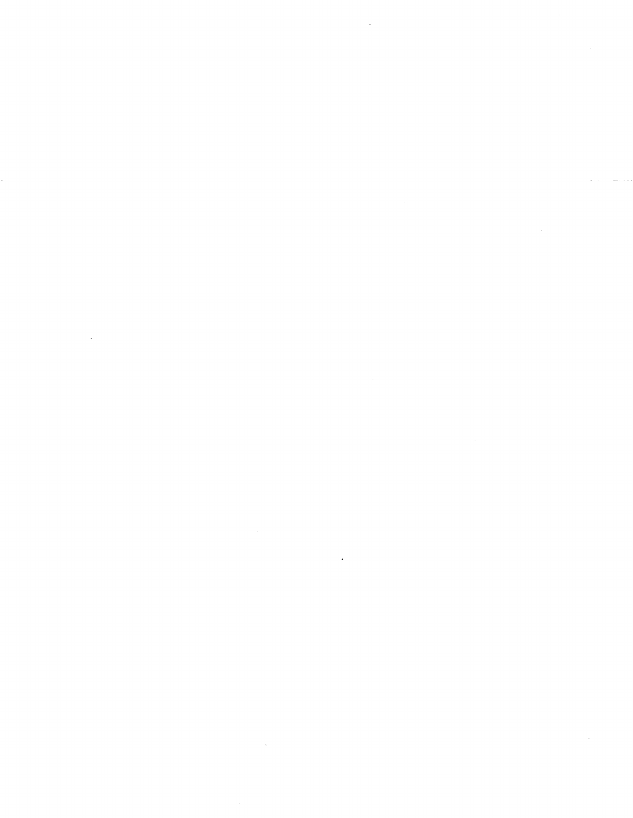$\mathcal{L}^{\text{max}}_{\text{max}}$  $\label{eq:2.1} \frac{1}{\sqrt{2}}\left(\frac{1}{\sqrt{2}}\right)^{2} \left(\frac{1}{\sqrt{2}}\right)^{2} \left(\frac{1}{\sqrt{2}}\right)^{2} \left(\frac{1}{\sqrt{2}}\right)^{2} \left(\frac{1}{\sqrt{2}}\right)^{2} \left(\frac{1}{\sqrt{2}}\right)^{2} \left(\frac{1}{\sqrt{2}}\right)^{2} \left(\frac{1}{\sqrt{2}}\right)^{2} \left(\frac{1}{\sqrt{2}}\right)^{2} \left(\frac{1}{\sqrt{2}}\right)^{2} \left(\frac{1}{\sqrt{2}}\right)^{2} \left(\$ 

 $\label{eq:2.1} \mathcal{L}(\mathcal{L}^{\text{max}}_{\mathcal{L}}(\mathcal{L}^{\text{max}}_{\mathcal{L}}(\mathcal{L}^{\text{max}}_{\mathcal{L}}(\mathcal{L}^{\text{max}}_{\mathcal{L}^{\text{max}}_{\mathcal{L}}(\mathcal{L}^{\text{max}}_{\mathcal{L}^{\text{max}}_{\mathcal{L}^{\text{max}}_{\mathcal{L}^{\text{max}}_{\mathcal{L}^{\text{max}}_{\mathcal{L}^{\text{max}}_{\mathcal{L}^{\text{max}}_{\mathcal{L}^{\text{max}}_{\mathcal{L}^{\text{max}}$ 

 $\label{eq:2.1} \frac{1}{\sqrt{2}}\int_{\mathbb{R}^3}\frac{1}{\sqrt{2}}\left(\frac{1}{\sqrt{2}}\right)^2\left(\frac{1}{\sqrt{2}}\right)^2\left(\frac{1}{\sqrt{2}}\right)^2\left(\frac{1}{\sqrt{2}}\right)^2\left(\frac{1}{\sqrt{2}}\right)^2.$  $\sim 60$  km s  $^{-1}$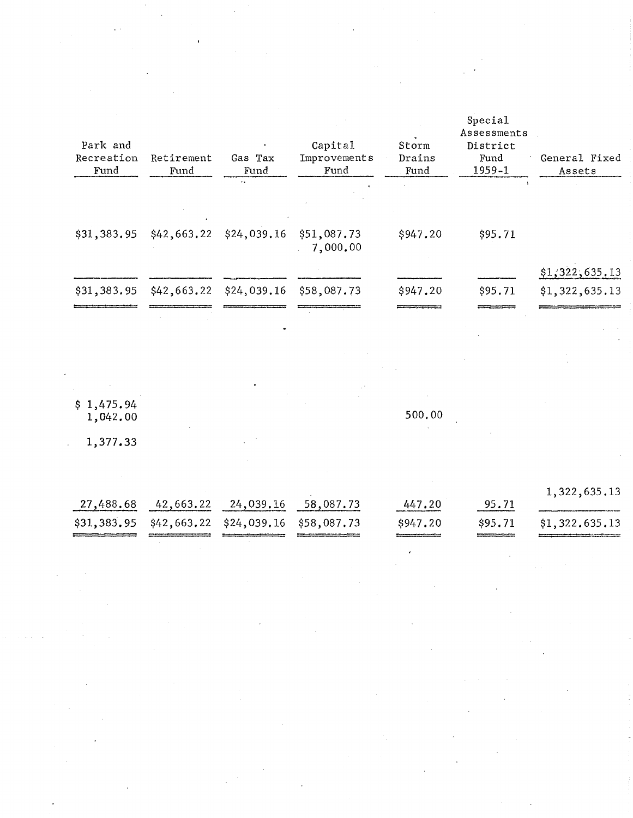| Park and<br>Recreation<br>Fund | Retirement<br>Fund | Gas Tax<br>Fund | Capital<br><b>Improvements</b><br>Fund | Storm<br>Drains<br>Fund | Special<br>Assessments<br>District<br>Fund<br>$1959 - 1$ | General Fixed<br>Assets |
|--------------------------------|--------------------|-----------------|----------------------------------------|-------------------------|----------------------------------------------------------|-------------------------|
| \$31,383.95                    | \$42,663.22        | \$24,039.16     | \$51,087.73<br>7,000.00                | \$947.20                | \$95.71                                                  |                         |
|                                |                    |                 |                                        |                         |                                                          | \$1,322,635.13          |
| \$31,383.95                    | \$42,663.22        | \$24,039.16     | \$58,087.73                            | \$947.20                | \$95.71                                                  | \$1,322,635.13          |
|                                |                    |                 |                                        |                         |                                                          |                         |
|                                |                    |                 |                                        |                         |                                                          |                         |
|                                |                    |                 |                                        |                         |                                                          |                         |
|                                |                    |                 |                                        |                         |                                                          |                         |
| \$1,475.94                     |                    |                 |                                        |                         |                                                          |                         |
| 1,042.00                       |                    |                 |                                        | 500.00                  |                                                          |                         |
| 1,377.33                       |                    |                 |                                        |                         |                                                          |                         |
|                                |                    |                 |                                        |                         |                                                          |                         |
|                                |                    |                 |                                        |                         |                                                          | 1,322,635.13            |
| 27,488.68                      | 42,663.22          | 24,039.16       | 58,087.73                              | 447.20                  | 95.71                                                    |                         |
| \$31,383.95                    | \$42,663.22        | \$24,039.16     | \$58,087.73                            | \$947.20                | \$95.71                                                  | \$1,322.635.13          |

 $\sim 10^6$ 

 $\sim 10$ 

 $\sim$ 

 $\sim 400$  km s  $^{-1}$ 

 $\sim$ 

 $\sim$ 

============

 $\mathcal{L}_{\mathcal{A}}$ 

 $\sim 10$ 

 $\langle \cdot \rangle$ 

 $\mathcal{A}^{\text{max}}_{\text{max}}$ 

 $\sim$ 

 $\mathcal{A}^{\mathcal{A}}$ 

**Professional Professional Professional Professional Professional Professional Professional Professional Professional Professional Professional Professional Professional Professional Professional Professional Professional** 

 $\label{eq:2.1} \mathcal{L}(\mathcal{L}^{\text{max}}_{\mathcal{L}}(\mathcal{L}^{\text{max}}_{\mathcal{L}})) \leq \mathcal{L}(\mathcal{L}^{\text{max}}_{\mathcal{L}}(\mathcal{L}^{\text{max}}_{\mathcal{L}}))$ 

 $\sim 10$ 

 $\sim$   $\sim$ 

 $\hat{\mathcal{A}}$ 

 $\epsilon$  :

 $\Delta \sim 1$ 

 $\sim$ 

and a strong of the state of the state of the state of the state of the state of the state of the state of the<br>The state of the state of the state of the state of the state of the state of the state of the state of the st

 $\mathcal{L}_{\text{max}}$  and  $\mathcal{L}_{\text{max}}$ 

 $\sim$ 

 $\bar{\epsilon}$ 

 $\mathcal{A}^{\mathcal{A}}$ 

 $\mathcal{F}^{\mathbb{R}}$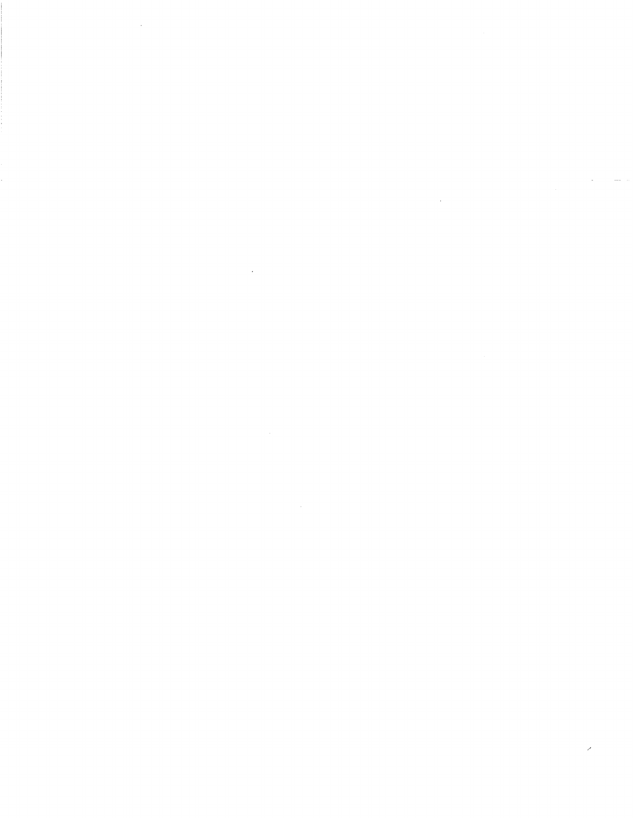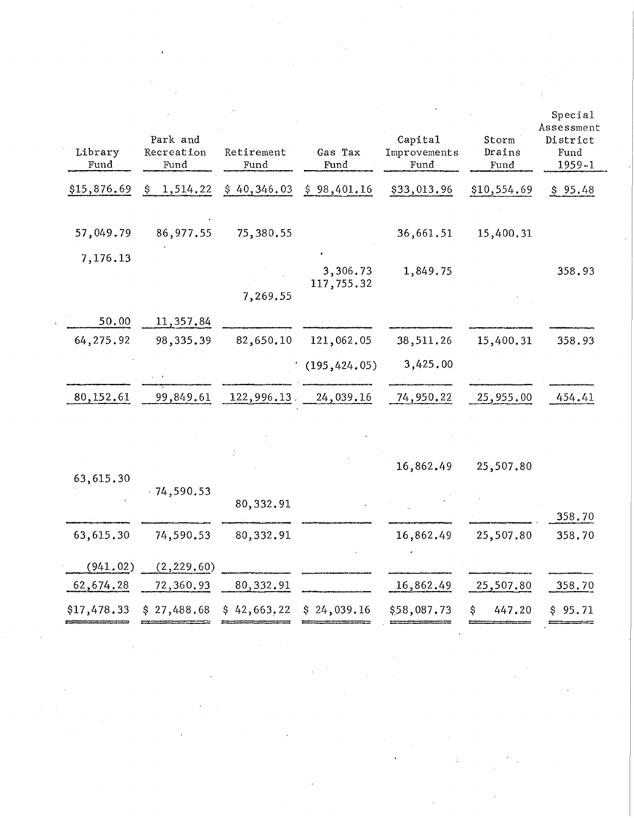| Library<br>Fund | Park and<br>Recreation<br>Fund | Retirement<br>Fund | Gas Tax<br>Fund        | Capital<br><b>Improvements</b><br>Fund | Storm<br>Drains<br>Fund | Special<br>Assessment<br>District<br>Fund<br>1959-1 |
|-----------------|--------------------------------|--------------------|------------------------|----------------------------------------|-------------------------|-----------------------------------------------------|
| \$15,876.69     | 1,514.22<br>\$                 | \$40,346.03        | \$98,401.16            | \$33,013.96                            | \$10,554.69             | \$95.48                                             |
| 57,049.79       | 86,977.55                      | 75,380.55          |                        | 36,661.51                              | 15,400.31               |                                                     |
| 7,176.13        |                                | 7,269.55           | 3,306.73<br>117,755.32 | 1,849.75                               |                         | 358.93                                              |
| 50.00           | 11,357.84                      |                    |                        |                                        |                         |                                                     |
| 64,275.92       | 98,335.39                      | 82,650.10          | 121,062.05             | 38,511.26                              | 15,400.31               | 358.93                                              |
|                 |                                |                    | (195, 424.05)          | 3,425.00                               |                         |                                                     |
| 80, 152.61      | 99,849.61                      | 122,996.13.        | 24,039.16              | 74,950.22                              | 25,955.00               | 454.41                                              |
|                 |                                |                    |                        | 16,862.49                              | 25,507.80               |                                                     |
| 63,615.30       | $-74,590.53$                   | 80,332.91          |                        |                                        |                         | 358.70                                              |
| 63,615.30       | 74,590.53                      | 80,332.91          |                        | 16,862.49                              | 25,507.80               | 358.70                                              |
| (941.02)        | (2, 229.60)                    |                    |                        |                                        |                         |                                                     |
| 62,674.28       | 72,360.93                      | 80,332.91          |                        | 16,862.49                              | 25,507.80               | 358.70                                              |
| \$17,478.33     | \$27,488.68                    | \$42,663.22        | \$24,039.16            | \$58,087.73                            | 447.20                  | \$95.71                                             |
|                 |                                |                    |                        |                                        |                         |                                                     |

 $\label{eq:2.1} \frac{1}{\sqrt{2}}\left(\frac{1}{\sqrt{2}}\right)^{2} \left(\frac{1}{\sqrt{2}}\right)^{2} \left(\frac{1}{\sqrt{2}}\right)^{2} \left(\frac{1}{\sqrt{2}}\right)^{2} \left(\frac{1}{\sqrt{2}}\right)^{2} \left(\frac{1}{\sqrt{2}}\right)^{2} \left(\frac{1}{\sqrt{2}}\right)^{2} \left(\frac{1}{\sqrt{2}}\right)^{2} \left(\frac{1}{\sqrt{2}}\right)^{2} \left(\frac{1}{\sqrt{2}}\right)^{2} \left(\frac{1}{\sqrt{2}}\right)^{2} \left(\$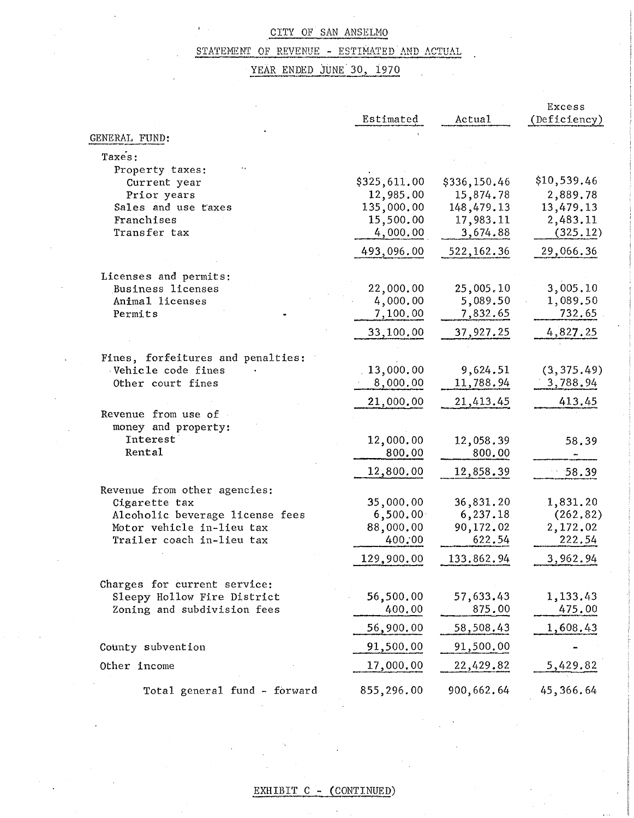$\mathbf{F}(\mathbf{r},\mathbf{r})$ 

# $STATEMENT$  OF REVENUE - ESTIMATED AND ACTUAL

YEAR ENDED JUNE 30, 1970

|                                   | Estimated           | Actual              | Excess<br>(Deficiency) |
|-----------------------------------|---------------------|---------------------|------------------------|
| GENERAL FUND:                     |                     |                     |                        |
| Taxes:                            |                     |                     |                        |
| Property taxes:                   |                     |                     |                        |
| Current year                      | \$325,611.00        | \$336,150.46        | \$10,539.46            |
| Prior years                       | 12,985.00           | 15,874.78           | 2,889.78               |
| Sales and use taxes               | 135,000.00          | 148,479.13          | 13,479.13              |
| Franchises                        | 15,500.00           | 17,983.11           | 2,483.11               |
| Transfer tax                      | 4,000.00            | 3,674.88            | (325.12)               |
|                                   | 493,096.00          | 522, 162.36         | 29,066.36              |
| Licenses and permits:             |                     |                     |                        |
| <b>Business licenses</b>          | 22,000.00           | 25,005.10           | 3,005.10               |
| Animal licenses                   | 4,000.00            | 5,089.50            | 1,089.50               |
| Permits                           | 7,100.00            | 7,832.65            | 732.65                 |
|                                   | 33,100.00           | 37,927.25           | 4,827.25               |
| Fines, forfeitures and penalties: |                     |                     |                        |
| Vehicle code fines                | 13,000.00           | 9,624.51            | (3, 375.49)            |
| Other court fines                 | 8,000.00            | 11,788.94           | 3,788.94               |
|                                   | 21,000.00           | 21,413.45           | 413.45                 |
| Revenue from use of               |                     |                     |                        |
| money and property:               |                     |                     |                        |
| Interest                          | 12,000.00           | 12,058.39           | 58.39                  |
| Rental                            | 800.00              | 800.00              |                        |
|                                   | 12,800.00           | 12,858.39           | 58.39                  |
| Revenue from other agencies:      |                     |                     |                        |
| Cigarette tax                     | 35,000.00           | 36,831.20           | 1,831.20               |
| Alcoholic beverage license fees   | 6,500,00            | 6,237.18            | (262, 82)              |
| Motor vehicle in-lieu tax         | 88,000.00<br>400.00 | 90,172.02<br>622.54 | 2,172.02               |
| Trailer coach in-lieu tax         |                     |                     | 222.54                 |
|                                   | 129,900.00          | 133.862.94          | 3,962.94               |
| Charges for current service:      |                     |                     |                        |
| Sleepy Hollow Fire District       | 56,500.00           | 57,633.43           | 1,133.43               |
| Zoning and subdivision fees       | 400.00              | 875.00              | 475.00                 |
|                                   | 56,900.00           | 58,508.43           | 1,608.43               |
| County subvention                 | 91,500.00           | 91,500.00           |                        |
| Other income                      | 17,000.00           | 22,429.82           | 5,429.82               |
| Total general fund - forward      | 855,296.00          | 900,662.64          | 45,366.64              |

## EXHIBIT C - (CONTINUED)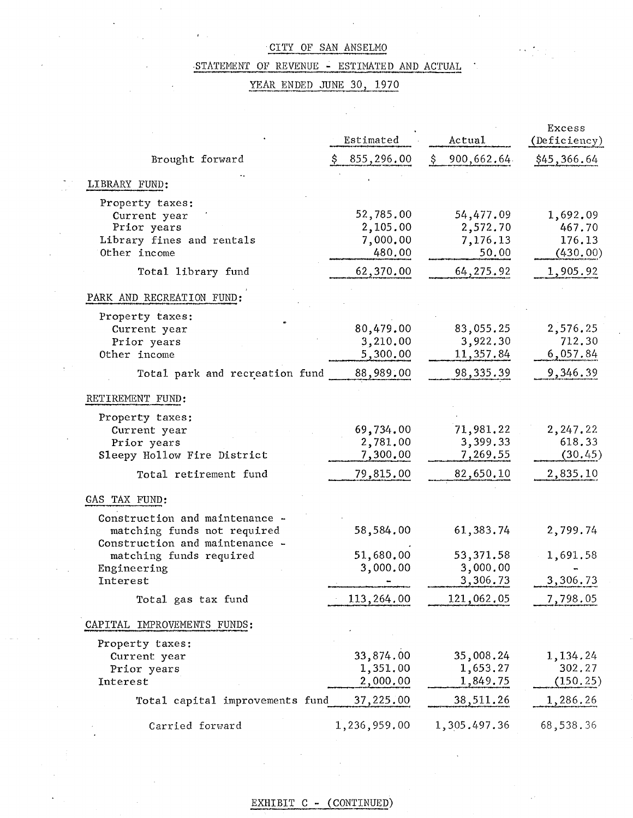$\mathbf{r}_{\mathrm{max}}$ 

 $\ddot{\phantom{a}}$ 

 $\lambda$ 

 $\bar{z}$ 

 $\Omega_{\rm{max}}$ 

# STATEMENT OF REVENUE - ESTIMATED AND ACTUAL

YEAR ENDED JUNE 30, 1970

|                                                                                                        | Estimated                                      | Actual                                            | Excess<br>(Deficiency)                     |
|--------------------------------------------------------------------------------------------------------|------------------------------------------------|---------------------------------------------------|--------------------------------------------|
| Brought forward                                                                                        | 855,296.00                                     | 900,662.64<br>S.                                  | \$45,366.64                                |
| LIBRARY FUND:                                                                                          |                                                |                                                   |                                            |
| Property taxes:<br>Current year<br>Prior years<br>Library fines and rentals<br>Other income            | 52,785.00<br>2,105.00<br>7,000.00<br>480.00    | 54,477.09<br>2,572.70<br>7,176.13<br>50.00        | 1,692.09<br>467.70<br>176.13<br>(430.00)   |
| Total library fund                                                                                     | 62,370.00                                      | 64, 275.92                                        | 1,905.92                                   |
| PARK AND RECREATION FUND:                                                                              |                                                |                                                   |                                            |
| Property taxes:<br>Current year<br>Prior years<br>Other income<br>Total park and recreation fund       | 80,479.00<br>3,210.00<br>5,300.00<br>88,989.00 | 83,055.25<br>3,922.30<br>11,357.84<br>98, 335. 39 | 2,576.25<br>712.30<br>6,057.84<br>9,346.39 |
| RETIREMENT FUND:                                                                                       |                                                |                                                   |                                            |
| Property taxes:<br>Current year<br>Prior years<br>Sleepy Hollow Fire District<br>Total retirement fund | 69,734.00<br>2,781.00<br>7,300.00<br>79,815.00 | 71,981.22<br>3,399.33<br>7,269.55<br>82,650.10    | 2, 247.22<br>618.33<br>(30.45)<br>2,835.10 |
| GAS TAX FUND:                                                                                          |                                                |                                                   |                                            |
| Construction and maintenance -<br>matching funds not required<br>Construction and maintenance -        | 58,584.00                                      | 61,383.74                                         | 2,799.74                                   |
| matching funds required<br>Engineering<br>Interest                                                     | 51,680.00<br>3,000.00                          | 53,371.58<br>3,000,00<br>3,306.73                 | 1,691.58<br>3,306.73                       |
| Total gas tax fund                                                                                     | 113,264.00                                     | 121,062.05                                        | 7,798.05                                   |
| CAPITAL IMPROVEMENTS FUNDS:                                                                            |                                                |                                                   |                                            |
| Property taxes:<br>Current year<br>Prior years<br>Interest                                             | 33,874.00<br>1,351.00<br>2,000.00              | 35,008.24<br>1,653.27<br>1,849.75                 | 1,134.24<br>302.27<br>(150.25)             |
| Total capital improvements fund                                                                        | 37,225.00                                      | 38,511.26                                         | 1,286.26                                   |
| Carried forward                                                                                        | 1,236,959.00                                   | 1,305.497.36                                      | 68,538.36                                  |

#### EXHIBIT C - (CONTINUED)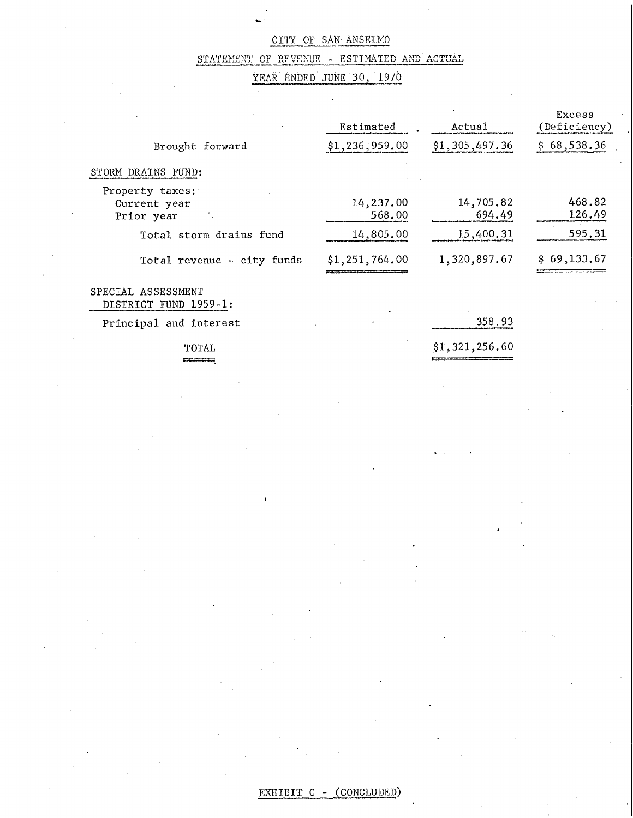## STATEMENT OF REVENUE - ESTIMATED AND ACTUAL

# YEAR ENDED JUNE 30, 1970

|                                               | Estimated           | Actual              | Excess<br>(Deficiency) |
|-----------------------------------------------|---------------------|---------------------|------------------------|
| Brought forward                               | \$1,236,959.00      | \$1,305,497.36      | \$68,538.36            |
| STORM DRAINS FUND:                            |                     |                     |                        |
| Property taxes:<br>Current year<br>Prior year | 14,237.00<br>568.00 | 14,705.82<br>694.49 | 468.82<br>126.49       |
| Total storm drains fund                       | 14,805.00           | 15,400.31           | 595.31                 |
| Total revenue - city funds                    | \$1,251,764.00      | 1,320,897.67        | \$69,133.67            |

#### SPECIAL ASSESSMENT DISTRICT FUND 1959-1:

Principal and interest

**TOTAL** ====

358.93 \$1,321,256.60

#### EXHIBIT C - (CONCLUDED)